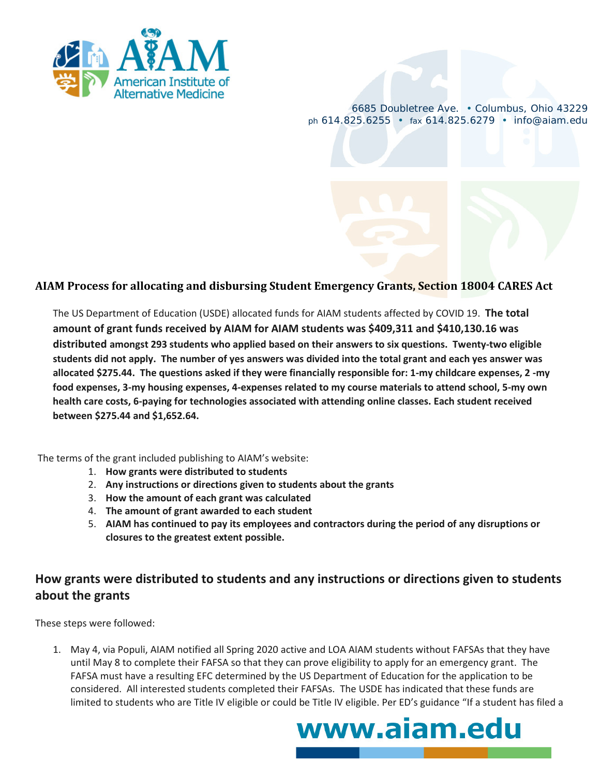

6685 Doubletree Ave. • Columbus, Ohio 43229 *ph* 614.825.6255 • *fax* 614.825.6279 • info@aiam.edu

## **AIAM Process for allocating and disbursing Student Emergency Grants, Section 18004 CARES Act**

The US Department of Education (USDE) allocated funds for AIAM students affected by COVID 19. **The total amount of grant funds received by AIAM for AIAM students was \$409,311 and \$410,130.16 was distributed amongst 293 students who applied based on their answers to six questions. Twenty-two eligible students did not apply. The number of yes answers was divided into the total grant and each yes answer was allocated \$275.44. The questions asked if they were financially responsible for: 1-my childcare expenses, 2 -my food expenses, 3-my housing expenses, 4-expenses related to my course materials to attend school, 5-my own health care costs, 6-paying for technologies associated with attending online classes. Each student received between \$275.44 and \$1,652.64.** 

The terms of the grant included publishing to AIAM's website:

- 1. **How grants were distributed to students**
- 2. **Any instructions or directions given to students about the grants**
- 3. **How the amount of each grant was calculated**
- 4. **The amount of grant awarded to each student**
- 5. **AIAM has continued to pay its employees and contractors during the period of any disruptions or closures to the greatest extent possible.**

## **How grants were distributed to students and any instructions or directions given to students about the grants**

These steps were followed:

1. May 4, via Populi, AIAM notified all Spring 2020 active and LOA AIAM students without FAFSAs that they have until May 8 to complete their FAFSA so that they can prove eligibility to apply for an emergency grant. The FAFSA must have a resulting EFC determined by the US Department of Education for the application to be considered. All interested students completed their FAFSAs. The USDE has indicated that these funds are limited to students who are Title IV eligible or could be Title IV eligible. Per ED's guidance "If a student has filed a

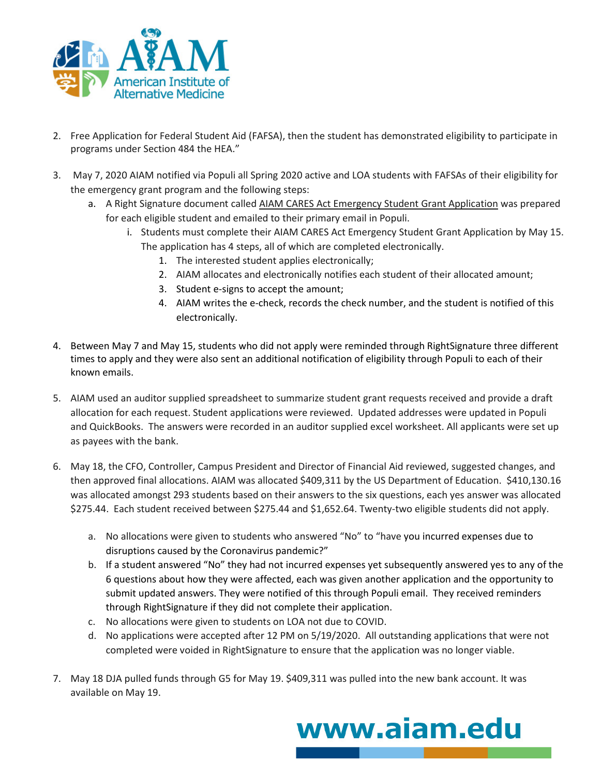

- 2. Free Application for Federal Student Aid (FAFSA), then the student has demonstrated eligibility to participate in programs under Section 484 the HEA."
- 3. May 7, 2020 AIAM notified via Populi all Spring 2020 active and LOA students with FAFSAs of their eligibility for the emergency grant program and the following steps:
	- a. A Right Signature document called AIAM CARES Act Emergency Student Grant Application was prepared for each eligible student and emailed to their primary email in Populi.
		- i. Students must complete their AIAM CARES Act Emergency Student Grant Application by May 15. The application has 4 steps, all of which are completed electronically.
			- 1. The interested student applies electronically;
			- 2. AIAM allocates and electronically notifies each student of their allocated amount;
			- 3. Student e-signs to accept the amount;
			- 4. AIAM writes the e-check, records the check number, and the student is notified of this electronically.
- 4. Between May 7 and May 15, students who did not apply were reminded through RightSignature three different times to apply and they were also sent an additional notification of eligibility through Populi to each of their known emails.
- 5. AIAM used an auditor supplied spreadsheet to summarize student grant requests received and provide a draft allocation for each request. Student applications were reviewed. Updated addresses were updated in Populi and QuickBooks. The answers were recorded in an auditor supplied excel worksheet. All applicants were set up as payees with the bank.
- 6. May 18, the CFO, Controller, Campus President and Director of Financial Aid reviewed, suggested changes, and then approved final allocations. AIAM was allocated \$409,311 by the US Department of Education. \$410,130.16 was allocated amongst 293 students based on their answers to the six questions, each yes answer was allocated \$275.44. Each student received between \$275.44 and \$1,652.64. Twenty-two eligible students did not apply.
	- a. No allocations were given to students who answered "No" to "have you incurred expenses due to disruptions caused by the Coronavirus pandemic?"
	- b. If a student answered "No" they had not incurred expenses yet subsequently answered yes to any of the 6 questions about how they were affected, each was given another application and the opportunity to submit updated answers. They were notified of this through Populi email. They received reminders through RightSignature if they did not complete their application.
	- c. No allocations were given to students on LOA not due to COVID.
	- d. No applications were accepted after 12 PM on 5/19/2020. All outstanding applications that were not completed were voided in RightSignature to ensure that the application was no longer viable.
- 7. May 18 DJA pulled funds through G5 for May 19. \$409,311 was pulled into the new bank account. It was available on May 19.